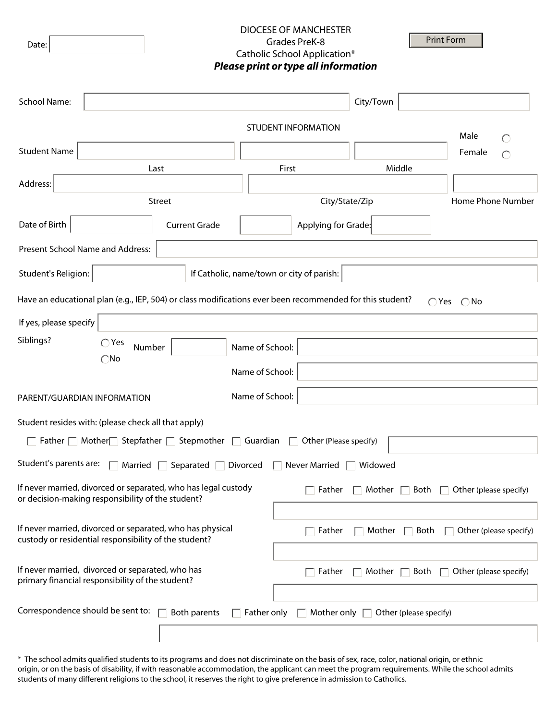## DIOCESE OF MANCHESTER Grades PreK-8 Catholic School Application\* *Please print or type all information*

Date:

Print Form

| <b>School Name:</b>                                                                                                |                          | City/Town                                                                                                |                                                    |                                                           |                                           |                              |  |
|--------------------------------------------------------------------------------------------------------------------|--------------------------|----------------------------------------------------------------------------------------------------------|----------------------------------------------------|-----------------------------------------------------------|-------------------------------------------|------------------------------|--|
|                                                                                                                    |                          |                                                                                                          |                                                    | <b>STUDENT INFORMATION</b>                                |                                           | Male                         |  |
| <b>Student Name</b>                                                                                                |                          |                                                                                                          |                                                    |                                                           |                                           | ∩<br>Female<br>$\bigcirc$    |  |
| Last                                                                                                               |                          |                                                                                                          | First                                              |                                                           | Middle                                    |                              |  |
| Address:                                                                                                           |                          |                                                                                                          |                                                    |                                                           |                                           |                              |  |
| <b>Street</b>                                                                                                      |                          |                                                                                                          | City/State/Zip                                     |                                                           |                                           | Home Phone Number            |  |
| Date of Birth                                                                                                      |                          | <b>Current Grade</b>                                                                                     | Applying for Grade:                                |                                                           |                                           |                              |  |
| Present School Name and Address:                                                                                   |                          |                                                                                                          |                                                    |                                                           |                                           |                              |  |
| Student's Religion:                                                                                                |                          | If Catholic, name/town or city of parish:                                                                |                                                    |                                                           |                                           |                              |  |
|                                                                                                                    |                          | Have an educational plan (e.g., IEP, 504) or class modifications ever been recommended for this student? |                                                    |                                                           |                                           | $\bigcirc$ Yes $\bigcirc$ No |  |
| If yes, please specify                                                                                             |                          |                                                                                                          |                                                    |                                                           |                                           |                              |  |
| Siblings?                                                                                                          | $\bigcirc$ Yes<br>Number |                                                                                                          | Name of School:                                    |                                                           |                                           |                              |  |
|                                                                                                                    | $\bigcirc$ No            |                                                                                                          | Name of School:                                    |                                                           |                                           |                              |  |
| PARENT/GUARDIAN INFORMATION                                                                                        |                          |                                                                                                          | Name of School:                                    |                                                           |                                           |                              |  |
| Student resides with: (please check all that apply)                                                                |                          |                                                                                                          |                                                    |                                                           |                                           |                              |  |
|                                                                                                                    |                          | $\Box$ Father $\Box$ Mother Stepfather $\Box$ Stepmother $\Box$ Guardian $\Box$ Other (Please specify)   |                                                    |                                                           |                                           |                              |  |
| Student's parents are:                                                                                             | Married $\Box$           | Separated $\Box$ Divorced                                                                                |                                                    | Never Married                                             | Widowed                                   |                              |  |
| or decision-making responsibility of the student?                                                                  |                          | If never married, divorced or separated, who has legal custody                                           |                                                    | Father                                                    | Mother $\Box$ Both                        | Other (please specify)       |  |
| If never married, divorced or separated, who has physical<br>custody or residential responsibility of the student? |                          |                                                                                                          | Father<br>Both<br>Other (please specify)<br>Mother |                                                           |                                           |                              |  |
| If never married, divorced or separated, who has<br>primary financial responsibility of the student?               |                          |                                                                                                          |                                                    | Both<br>Other (please specify)<br>Father<br>Mother $\Box$ |                                           |                              |  |
| Correspondence should be sent to:   Both parents                                                                   |                          |                                                                                                          | Father only                                        |                                                           | Mother only $\Box$ Other (please specify) |                              |  |
|                                                                                                                    |                          |                                                                                                          |                                                    |                                                           |                                           |                              |  |

\* The school admits qualified students to its programs and does not discriminate on the basis of sex, race, color, national origin, or ethnic origin, or on the basis of disability, if with reasonable accommodation, the applicant can meet the program requirements. While the school admits students of many different religions to the school, it reserves the right to give preference in admission to Catholics.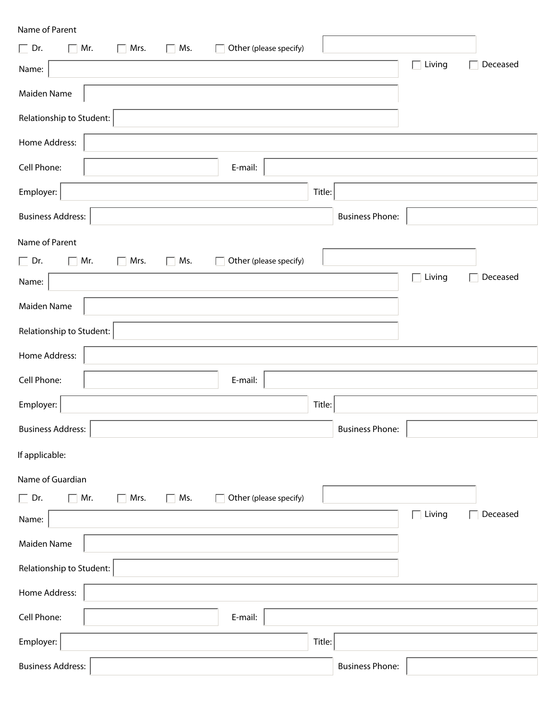Name of Parent

| <b>INGITIC OF FUILDITE</b>                 |                                                    |                        |             |          |
|--------------------------------------------|----------------------------------------------------|------------------------|-------------|----------|
| $\Box$ Dr.<br>$\Box$ Mrs.<br>Mr.<br>$\Box$ | Other (please specify)<br>Ms.<br>$\mathbf{L}$      |                        |             |          |
| Name:                                      |                                                    |                        | Living      | Deceased |
| Maiden Name                                |                                                    |                        |             |          |
| Relationship to Student:                   |                                                    |                        |             |          |
| Home Address:                              |                                                    |                        |             |          |
| Cell Phone:                                | E-mail:                                            |                        |             |          |
| Employer:                                  |                                                    | Title:                 |             |          |
| <b>Business Address:</b>                   |                                                    | <b>Business Phone:</b> |             |          |
| Name of Parent                             |                                                    |                        |             |          |
| $\Box$ Mrs.<br>$\Box$ Dr.<br>Mr.<br>$\Box$ | Ms.<br>Other (please specify)<br>$\mathbf{L}$      |                        |             |          |
| Name:                                      |                                                    |                        | Living      | Deceased |
| Maiden Name                                |                                                    |                        |             |          |
| Relationship to Student:                   |                                                    |                        |             |          |
| Home Address:                              |                                                    |                        |             |          |
| Cell Phone:                                | E-mail:                                            |                        |             |          |
|                                            |                                                    | Title:                 |             |          |
| Employer:                                  |                                                    |                        |             |          |
| <b>Business Address:</b>                   |                                                    | <b>Business Phone:</b> |             |          |
| If applicable:                             |                                                    |                        |             |          |
| Name of Guardian                           |                                                    |                        |             |          |
| $\Box$ Mrs.<br>$\Box$ Dr.<br>Mr.           | $\Box$ Ms.<br>Other (please specify)<br>$\Gamma$ 1 |                        |             |          |
| Name:                                      |                                                    |                        | Living<br>П | Deceased |
| Maiden Name                                |                                                    |                        |             |          |
| Relationship to Student:                   |                                                    |                        |             |          |
| Home Address:                              |                                                    |                        |             |          |
| Cell Phone:                                | E-mail:                                            |                        |             |          |
| Employer:                                  |                                                    | Title:                 |             |          |
| <b>Business Address:</b>                   |                                                    | <b>Business Phone:</b> |             |          |